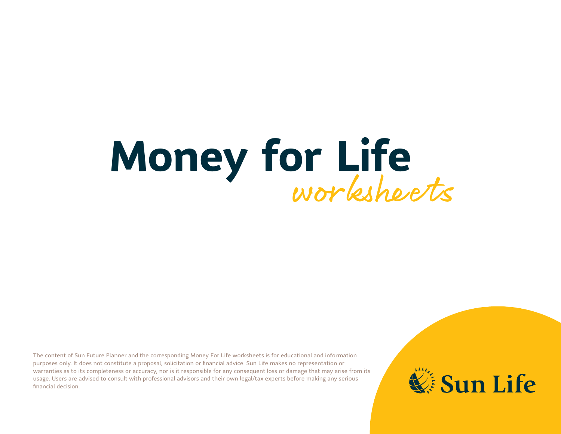# **Money for Life** workshee ts

The content of Sun Future Planner and the corresponding Money For Life worksheets is for educational and information purposes only. It does not constitute a proposal, solicitation or financial advice. Sun Life makes no representation or warranties as to its completeness or accuracy, nor is it responsible for any consequent loss or damage that may arise from its usage. Users are advised to consult with professional advisors and their own legal/tax experts before making any serious financial decision.

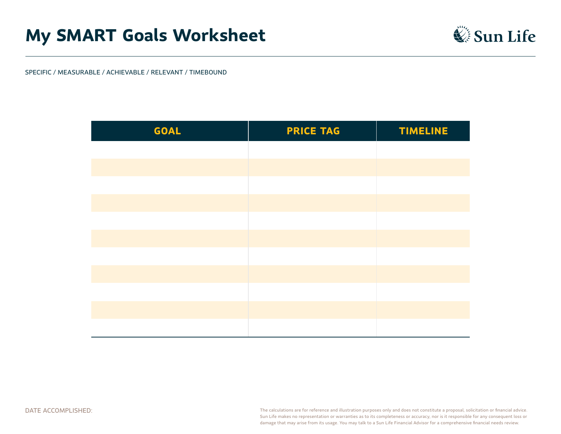### **My SMART Goals Worksheet**



SPECIFIC / MEASURABLE / ACHIEVABLE / RELEVANT / TIMEBOUND

| <b>GOAL</b> | <b>PRICE TAG</b> | <b>TIMELINE</b> |
|-------------|------------------|-----------------|
|             |                  |                 |
|             |                  |                 |
|             |                  |                 |
|             |                  |                 |
|             |                  |                 |
|             |                  |                 |
|             |                  |                 |
|             |                  |                 |
|             |                  |                 |
|             |                  |                 |
|             |                  |                 |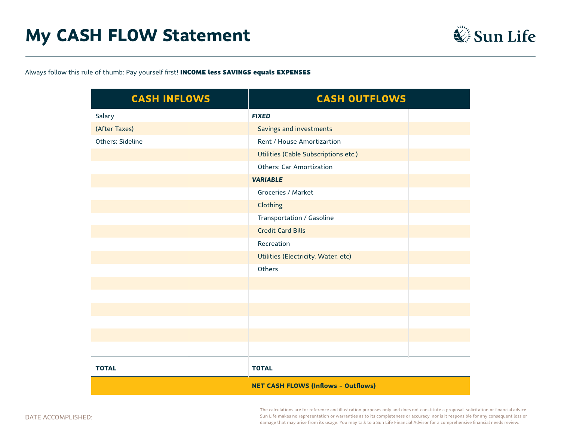

Always follow this rule of thumb: Pay yourself first! INCOME less SAVINGS equals EXPENSES

| <b>CASH INFLOWS</b> |  | <b>CASH OUTFLOWS</b>                       |  |
|---------------------|--|--------------------------------------------|--|
| Salary              |  | <b>FIXED</b>                               |  |
| (After Taxes)       |  | Savings and investments                    |  |
| Others: Sideline    |  | Rent / House Amortizartion                 |  |
|                     |  | Utilities (Cable Subscriptions etc.)       |  |
|                     |  | <b>Others: Car Amortization</b>            |  |
|                     |  | <b>VARIABLE</b>                            |  |
|                     |  | Groceries / Market                         |  |
|                     |  | Clothing                                   |  |
|                     |  | Transportation / Gasoline                  |  |
|                     |  | <b>Credit Card Bills</b>                   |  |
|                     |  | Recreation                                 |  |
|                     |  | Utilities (Electricity, Water, etc)        |  |
|                     |  | Others                                     |  |
|                     |  |                                            |  |
|                     |  |                                            |  |
|                     |  |                                            |  |
|                     |  |                                            |  |
|                     |  |                                            |  |
|                     |  |                                            |  |
| <b>TOTAL</b>        |  | <b>TOTAL</b>                               |  |
|                     |  | <b>NET CASH FLOWS (Inflows - Outflows)</b> |  |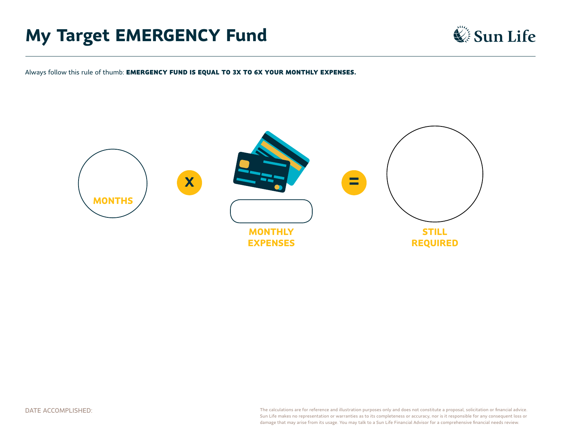## **My Target EMERGENCY Fund**



Always follow this rule of thumb: EMERGENCY FUND IS EQUAL TO 3X TO 6X YOUR MONTHLY EXPENSES.

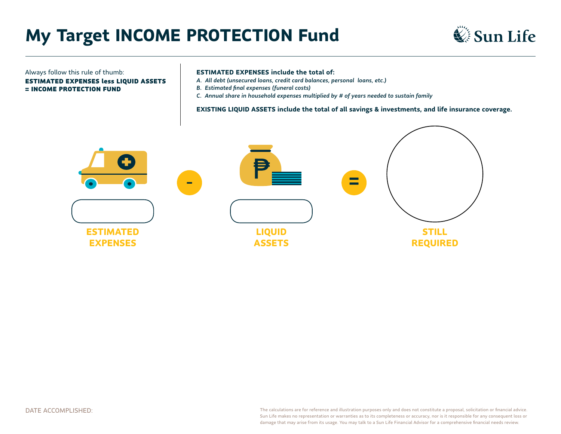## **My Target INCOME PROTECTION Fund**



#### Always follow this rule of thumb:

ESTIMATED EXPENSES less LIQUID ASSETS = INCOME PROTECTION FUND

#### **ESTIMATED EXPENSES include the total of:**

- *A. All debt (unsecured loans, credit card balances, personal loans, etc.)*
- *B. Estimated final expenses (funeral costs)*
- *C. Annual share in household expenses multiplied by # of years needed to sustain family*

**EXISTING LIQUID ASSETS include the total of all savings & investments, and life insurance coverage.**

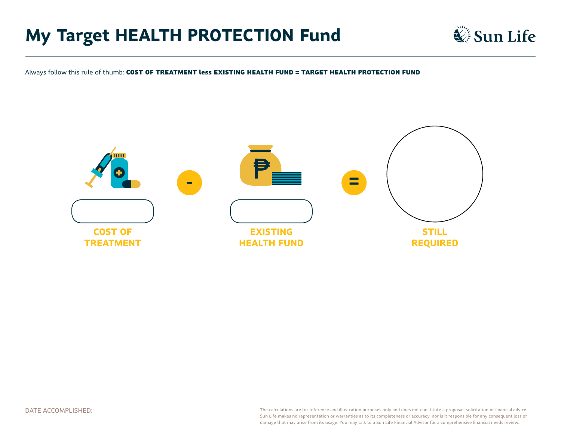## **My Target HEALTH PROTECTION Fund**



Always follow this rule of thumb: COST OF TREATMENT less EXISTING HEALTH FUND = TARGET HEALTH PROTECTION FUND

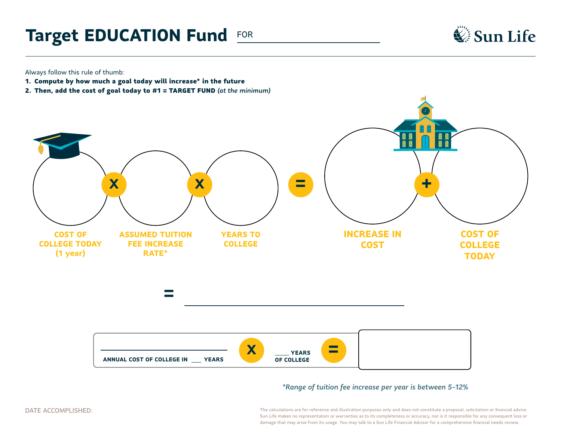## **Target EDUCATION Fund FOR**



Always follow this rule of thumb:

- 1. Compute by how much a goal today will increase\* in the future
- 2. Then, add the cost of goal today to #1 = TARGET FUND *(at the minimum)*



*\*Range of tuition fee increase per year is between 5-12%*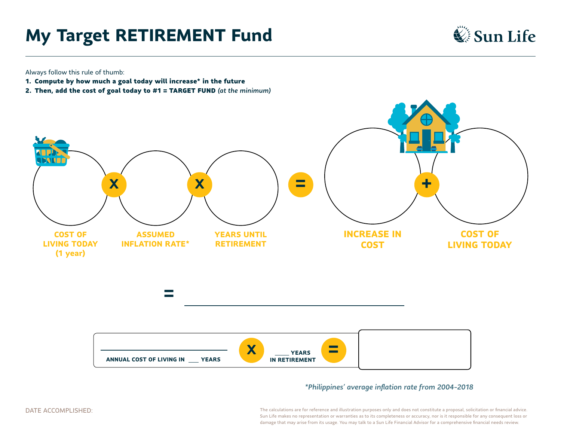## **My Target RETIREMENT Fund**



Always follow this rule of thumb:

- 1. Compute by how much a goal today will increase\* in the future
- 2. Then, add the cost of goal today to #1 = TARGET FUND *(at the minimum)*



#### *\*Philippines' average inflation rate from 2004-2018*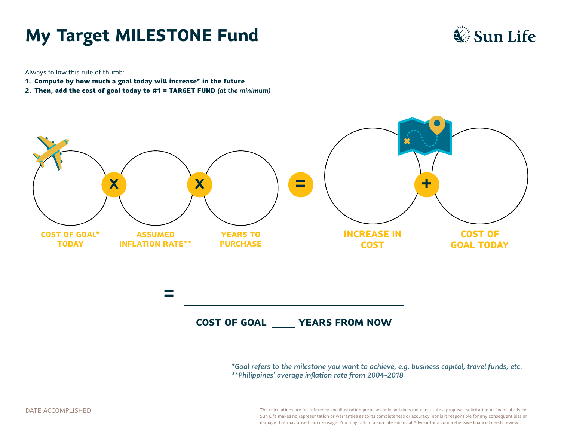## **My Target MILESTONE Fund**



Always follow this rule of thumb:

- 1. Compute by how much a goal today will increase\* in the future
- 2. Then, add the cost of goal today to #1 = TARGET FUND *(at the minimum)*



*\*Goal refers to the milestone you want to achieve, e.g. business capital, travel funds, etc. \*\*Philippines' average inflation rate from 2004-2018*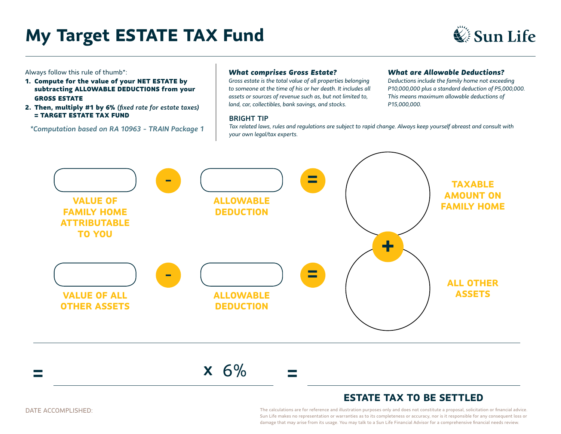## **My Target ESTATE TAX Fund**



Always follow this rule of thumb\*:

- 1. Compute for the value of your NET ESTATE by subtracting ALLOWABLE DEDUCTIONS from your GROSS ESTATE
- 2. Then, multiply #1 by 6% *(fixed rate for estate taxes)* = TARGET ESTATE TAX FUND

*\*Computation based on RA 10963 - TRAIN Package 1*

#### *What comprises Gross Estate?*

*Gross estate is the total value of all properties belonging to someone at the time of his or her death. It includes all assets or sources of revenue such as, but not limited to, land, car, collectibles, bank savings, and stocks.*

#### BRIGHT TIP

#### *What are Allowable Deductions?*

*Deductions include the family home not exceeding P10,000,000 plus a standard deduction of P5,000,000. This means maximum allowable deductions of P15,000,000.*

*Tax related laws, rules and regulations are subject to rapid change. Always keep yourself abreast and consult with your own legal/tax experts.*



#### **= <sup>X</sup>** 6% **=**

#### **ESTATE TAX TO BE SETTLED**